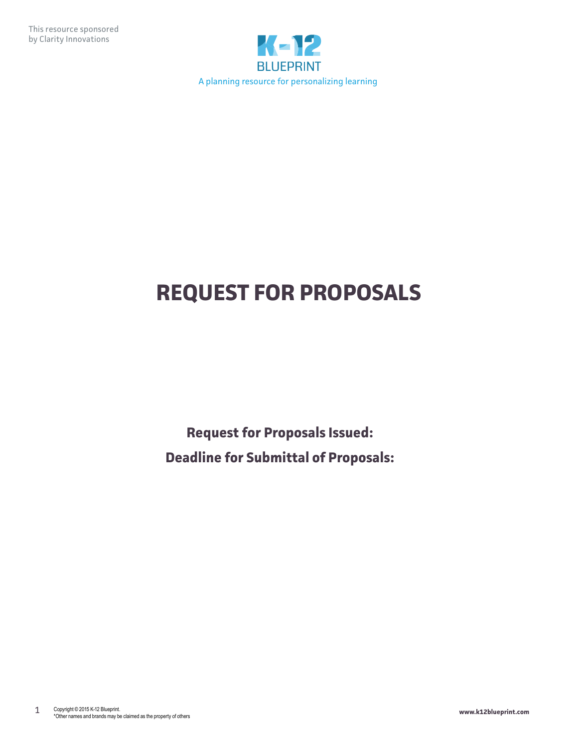

# **REQUEST FOR PROPOSALS**

**Request for Proposals Issued: Deadline for Submittal of Proposals:**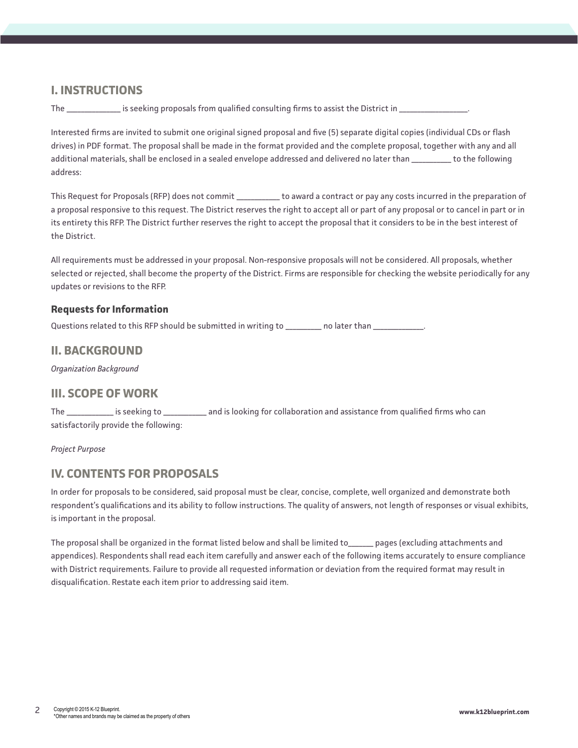# **I. INSTRUCTIONS**

The \_\_\_\_\_\_\_\_\_\_\_\_\_\_\_\_ is seeking proposals from qualified consulting firms to assist the District in \_

Interested firms are invited to submit one original signed proposal and five (5) separate digital copies (individual CDs or flash drives) in PDF format. The proposal shall be made in the format provided and the complete proposal, together with any and all additional materials, shall be enclosed in a sealed envelope addressed and delivered no later than \_\_\_\_\_\_\_\_\_\_\_ to the following address:

This Request for Proposals (RFP) does not commit \_\_\_\_\_\_\_\_\_\_\_\_ to award a contract or pay any costs incurred in the preparation of a proposal responsive to this request. The District reserves the right to accept all or part of any proposal or to cancel in part or in its entirety this RFP. The District further reserves the right to accept the proposal that it considers to be in the best interest of the District.

All requirements must be addressed in your proposal. Non-responsive proposals will not be considered. All proposals, whether selected or rejected, shall become the property of the District. Firms are responsible for checking the website periodically for any updates or revisions to the RFP.

## **Requests for Information**

Questions related to this RFP should be submitted in writing to \_\_\_\_\_\_\_\_\_\_ no later than \_\_\_\_\_\_\_\_\_\_\_\_\_\_.

## **II. BACKGROUND**

*Organization Background*

# **III. SCOPE OF WORK**

The \_\_\_\_\_\_\_\_\_\_\_\_\_ is seeking to \_\_\_\_\_\_\_\_\_\_\_\_ and is looking for collaboration and assistance from qualified firms who can satisfactorily provide the following:

*Project Purpose*

# **IV. CONTENTS FOR PROPOSALS**

In order for proposals to be considered, said proposal must be clear, concise, complete, well organized and demonstrate both respondent's qualifications and its ability to follow instructions. The quality of answers, not length of responses or visual exhibits, is important in the proposal.

The proposal shall be organized in the format listed below and shall be limited to\_\_\_\_\_\_\_ pages (excluding attachments and appendices). Respondents shall read each item carefully and answer each of the following items accurately to ensure compliance with District requirements. Failure to provide all requested information or deviation from the required format may result in disqualification. Restate each item prior to addressing said item.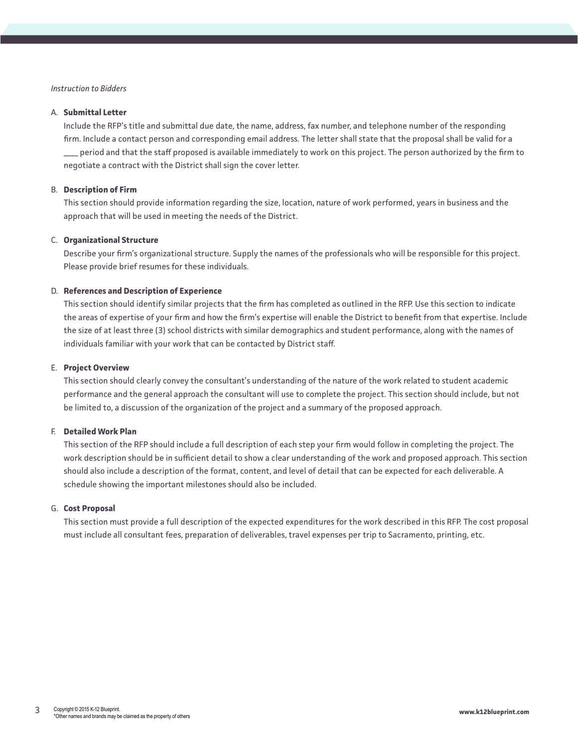## *Instruction to Bidders*

### A. **Submittal Letter**

Include the RFP's title and submittal due date, the name, address, fax number, and telephone number of the responding firm. Include a contact person and corresponding email address. The letter shall state that the proposal shall be valid for a \_\_\_\_ period and that the staff proposed is available immediately to work on this project. The person authorized by the firm to negotiate a contract with the District shall sign the cover letter.

## B. **Description of Firm**

This section should provide information regarding the size, location, nature of work performed, years in business and the approach that will be used in meeting the needs of the District.

### C. **Organizational Structure**

Describe your firm's organizational structure. Supply the names of the professionals who will be responsible for this project. Please provide brief resumes for these individuals.

## D. **References and Description of Experience**

This section should identify similar projects that the firm has completed as outlined in the RFP. Use this section to indicate the areas of expertise of your firm and how the firm's expertise will enable the District to benefit from that expertise. Include the size of at least three (3) school districts with similar demographics and student performance, along with the names of individuals familiar with your work that can be contacted by District staff.

#### E. **Project Overview**

This section should clearly convey the consultant's understanding of the nature of the work related to student academic performance and the general approach the consultant will use to complete the project. This section should include, but not be limited to, a discussion of the organization of the project and a summary of the proposed approach.

#### F. **Detailed Work Plan**

This section of the RFP should include a full description of each step your firm would follow in completing the project. The work description should be in sufficient detail to show a clear understanding of the work and proposed approach. This section should also include a description of the format, content, and level of detail that can be expected for each deliverable. A schedule showing the important milestones should also be included.

### G. **Cost Proposal**

This section must provide a full description of the expected expenditures for the work described in this RFP. The cost proposal must include all consultant fees, preparation of deliverables, travel expenses per trip to Sacramento, printing, etc.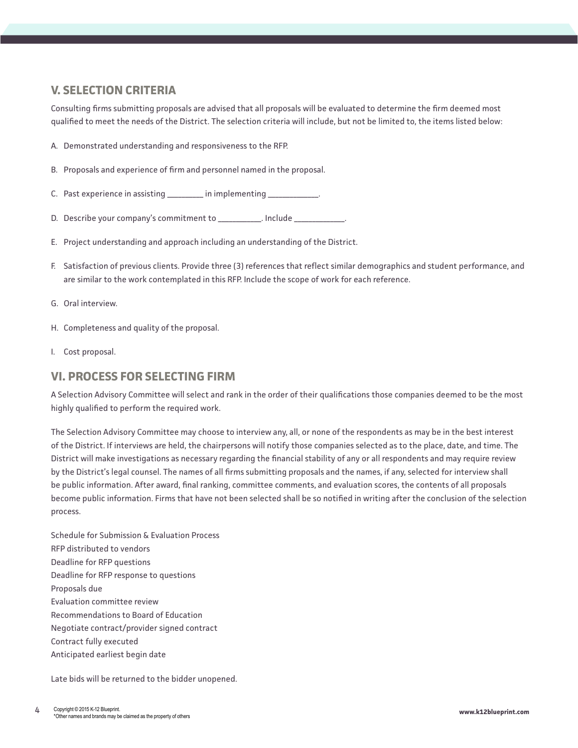# **V. SELECTION CRITERIA**

Consulting firms submitting proposals are advised that all proposals will be evaluated to determine the firm deemed most qualified to meet the needs of the District. The selection criteria will include, but not be limited to, the items listed below:

- A. Demonstrated understanding and responsiveness to the RFP.
- B. Proposals and experience of firm and personnel named in the proposal.
- C. Past experience in assisting \_\_\_\_\_\_\_\_\_\_ in implementing \_
- D. Describe your company's commitment to \_\_\_\_\_\_\_\_\_\_\_\_. Include \_\_\_\_
- E. Project understanding and approach including an understanding of the District.
- F. Satisfaction of previous clients. Provide three (3) references that reflect similar demographics and student performance, and are similar to the work contemplated in this RFP. Include the scope of work for each reference.
- G. Oral interview.
- H. Completeness and quality of the proposal.
- I. Cost proposal.

## **VI. PROCESS FOR SELECTING FIRM**

A Selection Advisory Committee will select and rank in the order of their qualifications those companies deemed to be the most highly qualified to perform the required work.

The Selection Advisory Committee may choose to interview any, all, or none of the respondents as may be in the best interest of the District. If interviews are held, the chairpersons will notify those companies selected as to the place, date, and time. The District will make investigations as necessary regarding the financial stability of any or all respondents and may require review by the District's legal counsel. The names of all firms submitting proposals and the names, if any, selected for interview shall be public information. After award, final ranking, committee comments, and evaluation scores, the contents of all proposals become public information. Firms that have not been selected shall be so notified in writing after the conclusion of the selection process.

Schedule for Submission & Evaluation Process RFP distributed to vendors Deadline for RFP questions Deadline for RFP response to questions Proposals due Evaluation committee review Recommendations to Board of Education Negotiate contract/provider signed contract Contract fully executed Anticipated earliest begin date

Late bids will be returned to the bidder unopened.